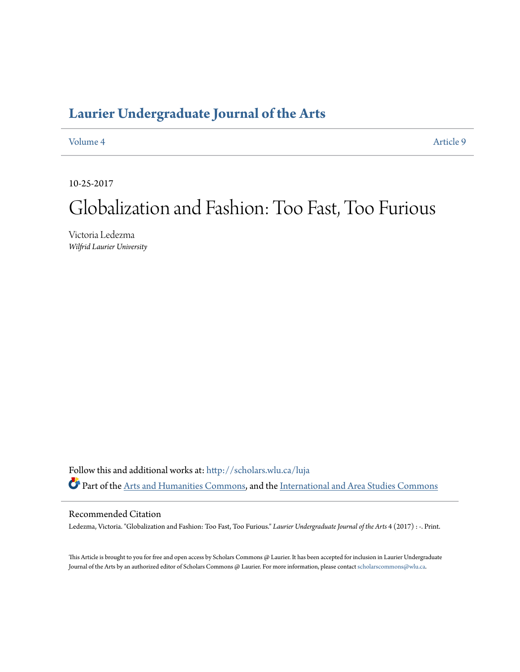## **[Laurier Undergraduate Journal of the Arts](http://scholars.wlu.ca/luja?utm_source=scholars.wlu.ca%2Fluja%2Fvol4%2Fiss1%2F9&utm_medium=PDF&utm_campaign=PDFCoverPages)**

[Volume 4](http://scholars.wlu.ca/luja/vol4?utm_source=scholars.wlu.ca%2Fluja%2Fvol4%2Fiss1%2F9&utm_medium=PDF&utm_campaign=PDFCoverPages) [Article 9](http://scholars.wlu.ca/luja/vol4/iss1/9?utm_source=scholars.wlu.ca%2Fluja%2Fvol4%2Fiss1%2F9&utm_medium=PDF&utm_campaign=PDFCoverPages)

10-25-2017

# Globalization and Fashion: Too Fast, Too Furious

Victoria Ledezma *Wilfrid Laurier University*

Follow this and additional works at: [http://scholars.wlu.ca/luja](http://scholars.wlu.ca/luja?utm_source=scholars.wlu.ca%2Fluja%2Fvol4%2Fiss1%2F9&utm_medium=PDF&utm_campaign=PDFCoverPages) Part of the [Arts and Humanities Commons](http://network.bepress.com/hgg/discipline/438?utm_source=scholars.wlu.ca%2Fluja%2Fvol4%2Fiss1%2F9&utm_medium=PDF&utm_campaign=PDFCoverPages), and the [International and Area Studies Commons](http://network.bepress.com/hgg/discipline/360?utm_source=scholars.wlu.ca%2Fluja%2Fvol4%2Fiss1%2F9&utm_medium=PDF&utm_campaign=PDFCoverPages)

#### Recommended Citation

Ledezma, Victoria. "Globalization and Fashion: Too Fast, Too Furious." *Laurier Undergraduate Journal of the Arts* 4 (2017) : -. Print.

This Article is brought to you for free and open access by Scholars Commons @ Laurier. It has been accepted for inclusion in Laurier Undergraduate Journal of the Arts by an authorized editor of Scholars Commons @ Laurier. For more information, please contact [scholarscommons@wlu.ca.](mailto:scholarscommons@wlu.ca)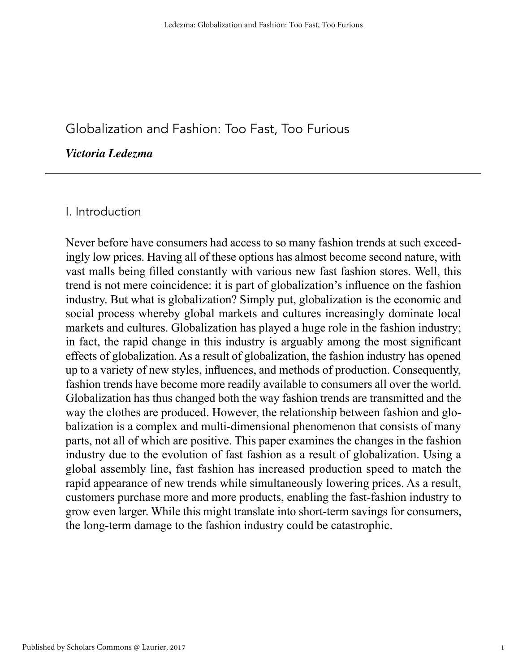### Globalization and Fashion: Too Fast, Too Furious

#### *Victoria Ledezma*

#### I. Introduction

Never before have consumers had access to so many fashion trends at such exceedingly low prices. Having all of these options has almost become second nature, with vast malls being filled constantly with various new fast fashion stores. Well, this trend is not mere coincidence: it is part of globalization's influence on the fashion industry. But what is globalization? Simply put, globalization is the economic and social process whereby global markets and cultures increasingly dominate local markets and cultures. Globalization has played a huge role in the fashion industry; in fact, the rapid change in this industry is arguably among the most significant effects of globalization. As a result of globalization, the fashion industry has opened up to a variety of new styles, influences, and methods of production. Consequently, fashion trends have become more readily available to consumers all over the world. Globalization has thus changed both the way fashion trends are transmitted and the way the clothes are produced. However, the relationship between fashion and globalization is a complex and multi-dimensional phenomenon that consists of many parts, not all of which are positive. This paper examines the changes in the fashion industry due to the evolution of fast fashion as a result of globalization. Using a global assembly line, fast fashion has increased production speed to match the rapid appearance of new trends while simultaneously lowering prices. As a result, customers purchase more and more products, enabling the fast-fashion industry to grow even larger. While this might translate into short-term savings for consumers, the long-term damage to the fashion industry could be catastrophic.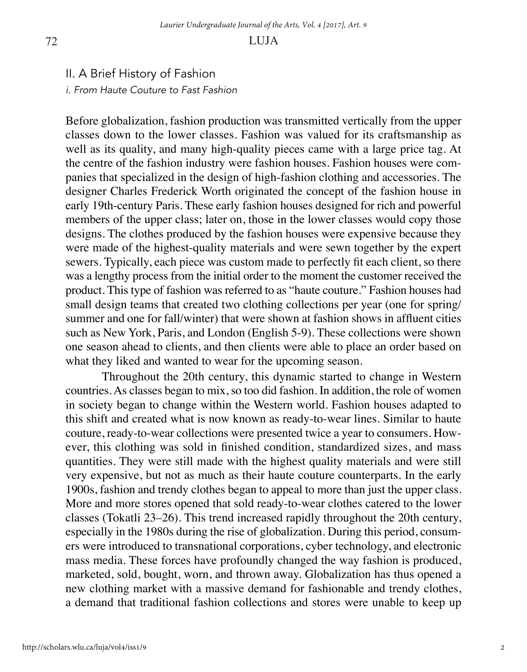#### II. A Brief History of Fashion *i. From Haute Couture to Fast Fashion*

Before globalization, fashion production was transmitted vertically from the upper classes down to the lower classes. Fashion was valued for its craftsmanship as well as its quality, and many high-quality pieces came with a large price tag. At the centre of the fashion industry were fashion houses. Fashion houses were companies that specialized in the design of high-fashion clothing and accessories. The designer Charles Frederick Worth originated the concept of the fashion house in early 19th-century Paris. These early fashion houses designed for rich and powerful members of the upper class; later on, those in the lower classes would copy those designs. The clothes produced by the fashion houses were expensive because they were made of the highest-quality materials and were sewn together by the expert sewers. Typically, each piece was custom made to perfectly fit each client, so there was a lengthy process from the initial order to the moment the customer received the product. This type of fashion was referred to as "haute couture." Fashion houses had small design teams that created two clothing collections per year (one for spring/ summer and one for fall/winter) that were shown at fashion shows in affluent cities such as New York, Paris, and London (English 5-9). These collections were shown one season ahead to clients, and then clients were able to place an order based on what they liked and wanted to wear for the upcoming season.

Throughout the 20th century, this dynamic started to change in Western countries. As classes began to mix, so too did fashion. In addition, the role of women in society began to change within the Western world. Fashion houses adapted to this shift and created what is now known as ready-to-wear lines. Similar to haute couture, ready-to-wear collections were presented twice a year to consumers. However, this clothing was sold in finished condition, standardized sizes, and mass quantities. They were still made with the highest quality materials and were still very expensive, but not as much as their haute couture counterparts. In the early 1900s, fashion and trendy clothes began to appeal to more than just the upper class. More and more stores opened that sold ready-to-wear clothes catered to the lower classes (Tokatli 23–26). This trend increased rapidly throughout the 20th century, especially in the 1980s during the rise of globalization. During this period, consumers were introduced to transnational corporations, cyber technology, and electronic mass media. These forces have profoundly changed the way fashion is produced, marketed, sold, bought, worn, and thrown away. Globalization has thus opened a new clothing market with a massive demand for fashionable and trendy clothes, a demand that traditional fashion collections and stores were unable to keep up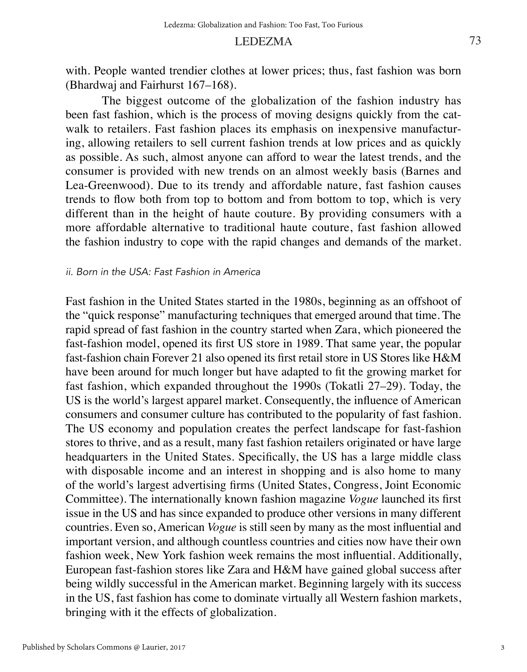#### LEDEZMA

with. People wanted trendier clothes at lower prices; thus, fast fashion was born (Bhardwaj and Fairhurst 167–168).

The biggest outcome of the globalization of the fashion industry has been fast fashion, which is the process of moving designs quickly from the catwalk to retailers. Fast fashion places its emphasis on inexpensive manufacturing, allowing retailers to sell current fashion trends at low prices and as quickly as possible. As such, almost anyone can afford to wear the latest trends, and the consumer is provided with new trends on an almost weekly basis (Barnes and Lea-Greenwood). Due to its trendy and affordable nature, fast fashion causes trends to flow both from top to bottom and from bottom to top, which is very different than in the height of haute couture. By providing consumers with a more affordable alternative to traditional haute couture, fast fashion allowed the fashion industry to cope with the rapid changes and demands of the market.

#### *ii. Born in the USA: Fast Fashion in America*

Fast fashion in the United States started in the 1980s, beginning as an offshoot of the "quick response" manufacturing techniques that emerged around that time. The rapid spread of fast fashion in the country started when Zara, which pioneered the fast-fashion model, opened its first US store in 1989. That same year, the popular fast-fashion chain Forever 21 also opened its first retail store in US Stores like H&M have been around for much longer but have adapted to fit the growing market for fast fashion, which expanded throughout the 1990s (Tokatli 27–29). Today, the US is the world's largest apparel market. Consequently, the influence of American consumers and consumer culture has contributed to the popularity of fast fashion. The US economy and population creates the perfect landscape for fast-fashion stores to thrive, and as a result, many fast fashion retailers originated or have large headquarters in the United States. Specifically, the US has a large middle class with disposable income and an interest in shopping and is also home to many of the world's largest advertising firms (United States, Congress, Joint Economic Committee). The internationally known fashion magazine *Vogue* launched its first issue in the US and has since expanded to produce other versions in many different countries. Even so, American *Vogue* is still seen by many as the most influential and important version, and although countless countries and cities now have their own fashion week, New York fashion week remains the most influential. Additionally, European fast-fashion stores like Zara and H&M have gained global success after being wildly successful in the American market. Beginning largely with its success in the US, fast fashion has come to dominate virtually all Western fashion markets, bringing with it the effects of globalization.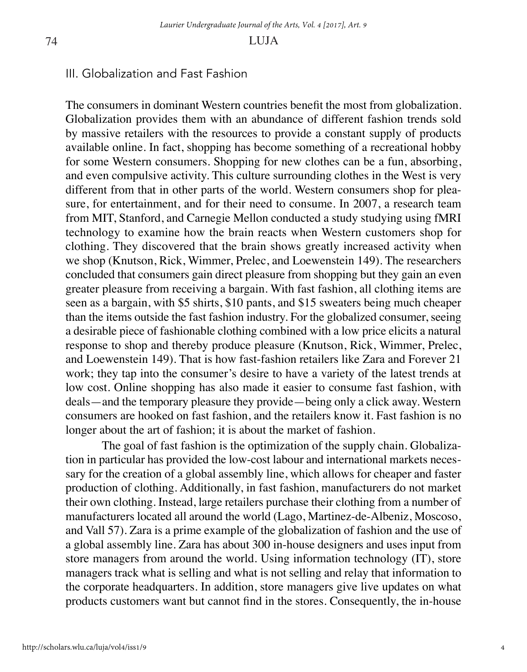#### III. Globalization and Fast Fashion

The consumers in dominant Western countries benefit the most from globalization. Globalization provides them with an abundance of different fashion trends sold by massive retailers with the resources to provide a constant supply of products available online. In fact, shopping has become something of a recreational hobby for some Western consumers. Shopping for new clothes can be a fun, absorbing, and even compulsive activity. This culture surrounding clothes in the West is very different from that in other parts of the world. Western consumers shop for pleasure, for entertainment, and for their need to consume. In 2007, a research team from MIT, Stanford, and Carnegie Mellon conducted a study studying using fMRI technology to examine how the brain reacts when Western customers shop for clothing. They discovered that the brain shows greatly increased activity when we shop (Knutson, Rick, Wimmer, Prelec, and Loewenstein 149). The researchers concluded that consumers gain direct pleasure from shopping but they gain an even greater pleasure from receiving a bargain. With fast fashion, all clothing items are seen as a bargain, with \$5 shirts, \$10 pants, and \$15 sweaters being much cheaper than the items outside the fast fashion industry. For the globalized consumer, seeing a desirable piece of fashionable clothing combined with a low price elicits a natural response to shop and thereby produce pleasure (Knutson, Rick, Wimmer, Prelec, and Loewenstein 149). That is how fast-fashion retailers like Zara and Forever 21 work; they tap into the consumer's desire to have a variety of the latest trends at low cost. Online shopping has also made it easier to consume fast fashion, with deals—and the temporary pleasure they provide—being only a click away. Western consumers are hooked on fast fashion, and the retailers know it. Fast fashion is no longer about the art of fashion; it is about the market of fashion.

The goal of fast fashion is the optimization of the supply chain. Globalization in particular has provided the low-cost labour and international markets necessary for the creation of a global assembly line, which allows for cheaper and faster production of clothing. Additionally, in fast fashion, manufacturers do not market their own clothing. Instead, large retailers purchase their clothing from a number of manufacturers located all around the world (Lago, Martinez-de-Albeniz, Moscoso, and Vall 57). Zara is a prime example of the globalization of fashion and the use of a global assembly line. Zara has about 300 in-house designers and uses input from store managers from around the world. Using information technology (IT), store managers track what is selling and what is not selling and relay that information to the corporate headquarters. In addition, store managers give live updates on what products customers want but cannot find in the stores. Consequently, the in-house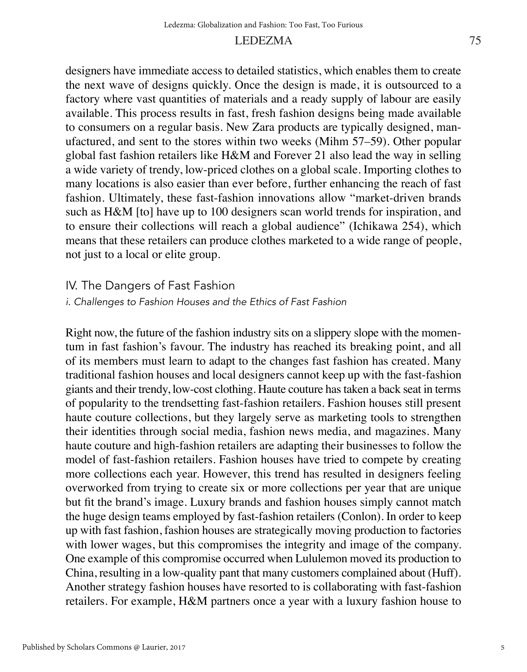#### LEDEZMA

designers have immediate access to detailed statistics, which enables them to create the next wave of designs quickly. Once the design is made, it is outsourced to a factory where vast quantities of materials and a ready supply of labour are easily available. This process results in fast, fresh fashion designs being made available to consumers on a regular basis. New Zara products are typically designed, manufactured, and sent to the stores within two weeks (Mihm 57–59). Other popular global fast fashion retailers like H&M and Forever 21 also lead the way in selling a wide variety of trendy, low-priced clothes on a global scale. Importing clothes to many locations is also easier than ever before, further enhancing the reach of fast fashion. Ultimately, these fast-fashion innovations allow "market-driven brands such as H&M [to] have up to 100 designers scan world trends for inspiration, and to ensure their collections will reach a global audience" (Ichikawa 254), which means that these retailers can produce clothes marketed to a wide range of people, not just to a local or elite group.

#### IV. The Dangers of Fast Fashion

*i. Challenges to Fashion Houses and the Ethics of Fast Fashion*

Right now, the future of the fashion industry sits on a slippery slope with the momentum in fast fashion's favour. The industry has reached its breaking point, and all of its members must learn to adapt to the changes fast fashion has created. Many traditional fashion houses and local designers cannot keep up with the fast-fashion giants and their trendy, low-cost clothing. Haute couture has taken a back seat in terms of popularity to the trendsetting fast-fashion retailers. Fashion houses still present haute couture collections, but they largely serve as marketing tools to strengthen their identities through social media, fashion news media, and magazines. Many haute couture and high-fashion retailers are adapting their businesses to follow the model of fast-fashion retailers. Fashion houses have tried to compete by creating more collections each year. However, this trend has resulted in designers feeling overworked from trying to create six or more collections per year that are unique but fit the brand's image. Luxury brands and fashion houses simply cannot match the huge design teams employed by fast-fashion retailers (Conlon). In order to keep up with fast fashion, fashion houses are strategically moving production to factories with lower wages, but this compromises the integrity and image of the company. One example of this compromise occurred when Lululemon moved its production to China, resulting in a low-quality pant that many customers complained about (Huff). Another strategy fashion houses have resorted to is collaborating with fast-fashion retailers. For example, H&M partners once a year with a luxury fashion house to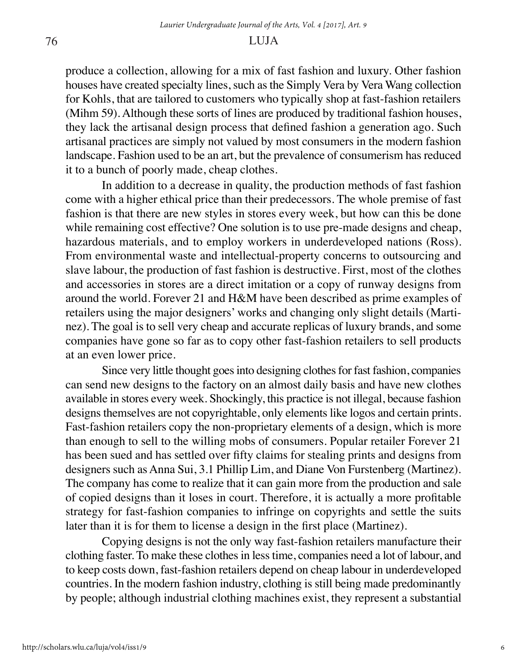produce a collection, allowing for a mix of fast fashion and luxury. Other fashion houses have created specialty lines, such as the Simply Vera by Vera Wang collection for Kohls, that are tailored to customers who typically shop at fast-fashion retailers (Mihm 59). Although these sorts of lines are produced by traditional fashion houses, they lack the artisanal design process that defined fashion a generation ago. Such artisanal practices are simply not valued by most consumers in the modern fashion landscape. Fashion used to be an art, but the prevalence of consumerism has reduced it to a bunch of poorly made, cheap clothes.

In addition to a decrease in quality, the production methods of fast fashion come with a higher ethical price than their predecessors. The whole premise of fast fashion is that there are new styles in stores every week, but how can this be done while remaining cost effective? One solution is to use pre-made designs and cheap, hazardous materials, and to employ workers in underdeveloped nations (Ross). From environmental waste and intellectual-property concerns to outsourcing and slave labour, the production of fast fashion is destructive. First, most of the clothes and accessories in stores are a direct imitation or a copy of runway designs from around the world. Forever 21 and H&M have been described as prime examples of retailers using the major designers' works and changing only slight details (Martinez). The goal is to sell very cheap and accurate replicas of luxury brands, and some companies have gone so far as to copy other fast-fashion retailers to sell products at an even lower price.

Since very little thought goes into designing clothes for fast fashion, companies can send new designs to the factory on an almost daily basis and have new clothes available in stores every week. Shockingly, this practice is not illegal, because fashion designs themselves are not copyrightable, only elements like logos and certain prints. Fast-fashion retailers copy the non-proprietary elements of a design, which is more than enough to sell to the willing mobs of consumers. Popular retailer Forever 21 has been sued and has settled over fifty claims for stealing prints and designs from designers such as Anna Sui, 3.1 Phillip Lim, and Diane Von Furstenberg (Martinez). The company has come to realize that it can gain more from the production and sale of copied designs than it loses in court. Therefore, it is actually a more profitable strategy for fast-fashion companies to infringe on copyrights and settle the suits later than it is for them to license a design in the first place (Martinez).

Copying designs is not the only way fast-fashion retailers manufacture their clothing faster. To make these clothes in less time, companies need a lot of labour, and to keep costs down, fast-fashion retailers depend on cheap labour in underdeveloped countries. In the modern fashion industry, clothing is still being made predominantly by people; although industrial clothing machines exist, they represent a substantial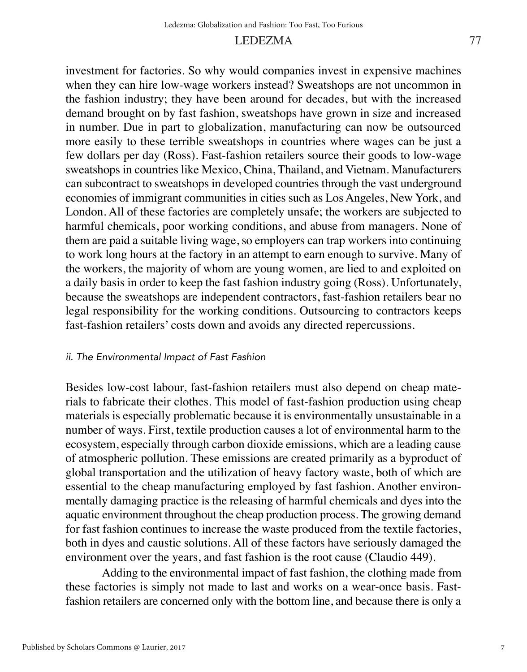#### LEDEZMA

investment for factories. So why would companies invest in expensive machines when they can hire low-wage workers instead? Sweatshops are not uncommon in the fashion industry; they have been around for decades, but with the increased demand brought on by fast fashion, sweatshops have grown in size and increased in number. Due in part to globalization, manufacturing can now be outsourced more easily to these terrible sweatshops in countries where wages can be just a few dollars per day (Ross). Fast-fashion retailers source their goods to low-wage sweatshops in countries like Mexico, China, Thailand, and Vietnam. Manufacturers can subcontract to sweatshops in developed countries through the vast underground economies of immigrant communities in cities such as Los Angeles, New York, and London. All of these factories are completely unsafe; the workers are subjected to harmful chemicals, poor working conditions, and abuse from managers. None of them are paid a suitable living wage, so employers can trap workers into continuing to work long hours at the factory in an attempt to earn enough to survive. Many of the workers, the majority of whom are young women, are lied to and exploited on a daily basis in order to keep the fast fashion industry going (Ross). Unfortunately, because the sweatshops are independent contractors, fast-fashion retailers bear no legal responsibility for the working conditions. Outsourcing to contractors keeps fast-fashion retailers' costs down and avoids any directed repercussions.

#### *ii. The Environmental Impact of Fast Fashion*

Besides low-cost labour, fast-fashion retailers must also depend on cheap materials to fabricate their clothes. This model of fast-fashion production using cheap materials is especially problematic because it is environmentally unsustainable in a number of ways. First, textile production causes a lot of environmental harm to the ecosystem, especially through carbon dioxide emissions, which are a leading cause of atmospheric pollution. These emissions are created primarily as a byproduct of global transportation and the utilization of heavy factory waste, both of which are essential to the cheap manufacturing employed by fast fashion. Another environmentally damaging practice is the releasing of harmful chemicals and dyes into the aquatic environment throughout the cheap production process. The growing demand for fast fashion continues to increase the waste produced from the textile factories, both in dyes and caustic solutions. All of these factors have seriously damaged the environment over the years, and fast fashion is the root cause (Claudio 449).

Adding to the environmental impact of fast fashion, the clothing made from these factories is simply not made to last and works on a wear-once basis. Fastfashion retailers are concerned only with the bottom line, and because there is only a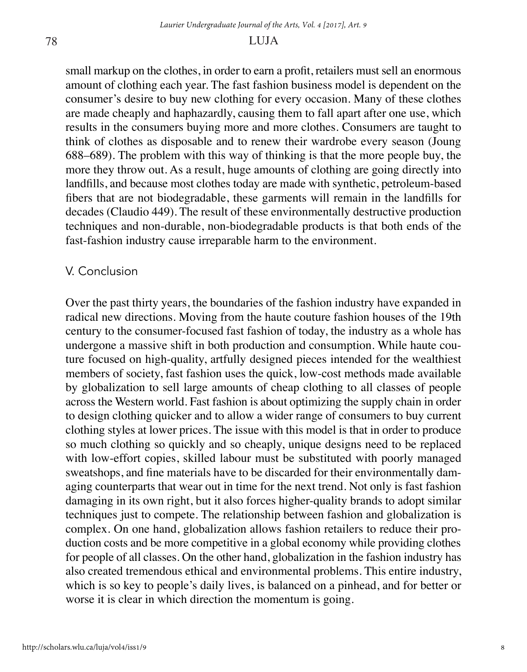small markup on the clothes, in order to earn a profit, retailers must sell an enormous amount of clothing each year. The fast fashion business model is dependent on the consumer's desire to buy new clothing for every occasion. Many of these clothes are made cheaply and haphazardly, causing them to fall apart after one use, which results in the consumers buying more and more clothes. Consumers are taught to think of clothes as disposable and to renew their wardrobe every season (Joung 688–689). The problem with this way of thinking is that the more people buy, the more they throw out. As a result, huge amounts of clothing are going directly into landfills, and because most clothes today are made with synthetic, petroleum-based fibers that are not biodegradable, these garments will remain in the landfills for decades (Claudio 449). The result of these environmentally destructive production techniques and non-durable, non-biodegradable products is that both ends of the fast-fashion industry cause irreparable harm to the environment.

#### V. Conclusion

Over the past thirty years, the boundaries of the fashion industry have expanded in radical new directions. Moving from the haute couture fashion houses of the 19th century to the consumer-focused fast fashion of today, the industry as a whole has undergone a massive shift in both production and consumption. While haute couture focused on high-quality, artfully designed pieces intended for the wealthiest members of society, fast fashion uses the quick, low-cost methods made available by globalization to sell large amounts of cheap clothing to all classes of people across the Western world. Fast fashion is about optimizing the supply chain in order to design clothing quicker and to allow a wider range of consumers to buy current clothing styles at lower prices. The issue with this model is that in order to produce so much clothing so quickly and so cheaply, unique designs need to be replaced with low-effort copies, skilled labour must be substituted with poorly managed sweatshops, and fine materials have to be discarded for their environmentally damaging counterparts that wear out in time for the next trend. Not only is fast fashion damaging in its own right, but it also forces higher-quality brands to adopt similar techniques just to compete. The relationship between fashion and globalization is complex. On one hand, globalization allows fashion retailers to reduce their production costs and be more competitive in a global economy while providing clothes for people of all classes. On the other hand, globalization in the fashion industry has also created tremendous ethical and environmental problems. This entire industry, which is so key to people's daily lives, is balanced on a pinhead, and for better or worse it is clear in which direction the momentum is going.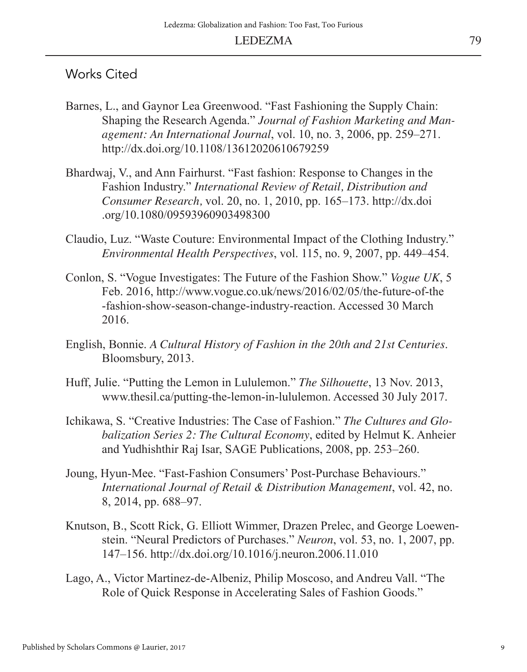#### Works Cited

- Barnes, L., and Gaynor Lea Greenwood. "Fast Fashioning the Supply Chain: Shaping the Research Agenda." *Journal of Fashion Marketing and Management: An International Journal*, vol. 10, no. 3, 2006, pp. 259–271. http://dx.doi.org/10.1108/13612020610679259
- Bhardwaj, V., and Ann Fairhurst. "Fast fashion: Response to Changes in the Fashion Industry." *International Review of Retail, Distribution and Consumer Research,* vol. 20, no. 1, 2010, pp. 165–173. http://dx.doi .org/10.1080/09593960903498300
- Claudio, Luz. "Waste Couture: Environmental Impact of the Clothing Industry." *Environmental Health Perspectives*, vol. 115, no. 9, 2007, pp. 449–454.
- Conlon, S. "Vogue Investigates: The Future of the Fashion Show." *Vogue UK*, 5 Feb. 2016, http://www.vogue.co.uk/news/2016/02/05/the-future-of-the -fashion-show-season-change-industry-reaction. Accessed 30 March 2016.
- English, Bonnie. *A Cultural History of Fashion in the 20th and 21st Centuries*. Bloomsbury, 2013.
- Huff, Julie. "Putting the Lemon in Lululemon." *The Silhouette*, 13 Nov. 2013, www.thesil.ca/putting-the-lemon-in-lululemon. Accessed 30 July 2017.
- Ichikawa, S. "Creative Industries: The Case of Fashion." *The Cultures and Globalization Series 2: The Cultural Economy*, edited by Helmut K. Anheier and Yudhishthir Raj Isar, SAGE Publications, 2008, pp. 253–260.
- Joung, Hyun-Mee. "Fast-Fashion Consumers' Post-Purchase Behaviours." *International Journal of Retail & Distribution Management*, vol. 42, no. 8, 2014, pp. 688–97.
- Knutson, B., Scott Rick, G. Elliott Wimmer, Drazen Prelec, and George Loewenstein. "Neural Predictors of Purchases." *Neuron*, vol. 53, no. 1, 2007, pp. 147–156. http://dx.doi.org/10.1016/j.neuron.2006.11.010
- Lago, A., Victor Martinez-de-Albeniz, Philip Moscoso, and Andreu Vall. "The Role of Quick Response in Accelerating Sales of Fashion Goods."